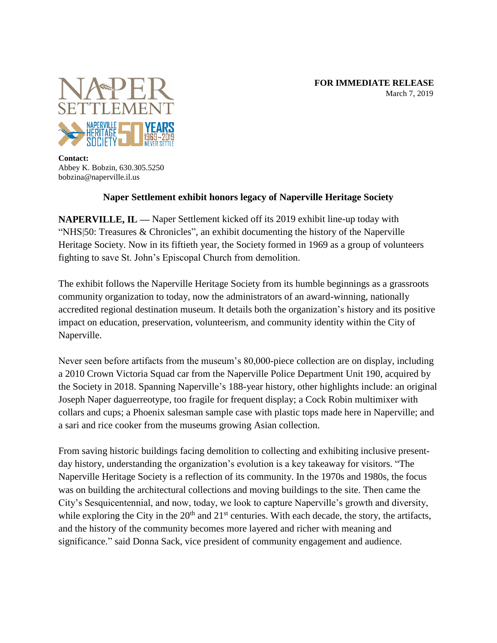

**Contact:** Abbey K. Bobzin, 630.305.5250 bobzina@naperville.il.us

## **Naper Settlement exhibit honors legacy of Naperville Heritage Society**

**NAPERVILLE, IL —** Naper Settlement kicked off its 2019 exhibit line-up today with "NHS|50: Treasures & Chronicles", an exhibit documenting the history of the Naperville Heritage Society. Now in its fiftieth year, the Society formed in 1969 as a group of volunteers fighting to save St. John's Episcopal Church from demolition.

The exhibit follows the Naperville Heritage Society from its humble beginnings as a grassroots community organization to today, now the administrators of an award-winning, nationally accredited regional destination museum. It details both the organization's history and its positive impact on education, preservation, volunteerism, and community identity within the City of Naperville.

Never seen before artifacts from the museum's 80,000-piece collection are on display, including a 2010 Crown Victoria Squad car from the Naperville Police Department Unit 190, acquired by the Society in 2018. Spanning Naperville's 188-year history, other highlights include: an original Joseph Naper daguerreotype, too fragile for frequent display; a Cock Robin multimixer with collars and cups; a Phoenix salesman sample case with plastic tops made here in Naperville; and a sari and rice cooker from the museums growing Asian collection.

From saving historic buildings facing demolition to collecting and exhibiting inclusive presentday history, understanding the organization's evolution is a key takeaway for visitors. "The Naperville Heritage Society is a reflection of its community. In the 1970s and 1980s, the focus was on building the architectural collections and moving buildings to the site. Then came the City's Sesquicentennial, and now, today, we look to capture Naperville's growth and diversity, while exploring the City in the  $20<sup>th</sup>$  and  $21<sup>st</sup>$  centuries. With each decade, the story, the artifacts, and the history of the community becomes more layered and richer with meaning and significance." said Donna Sack, vice president of community engagement and audience.